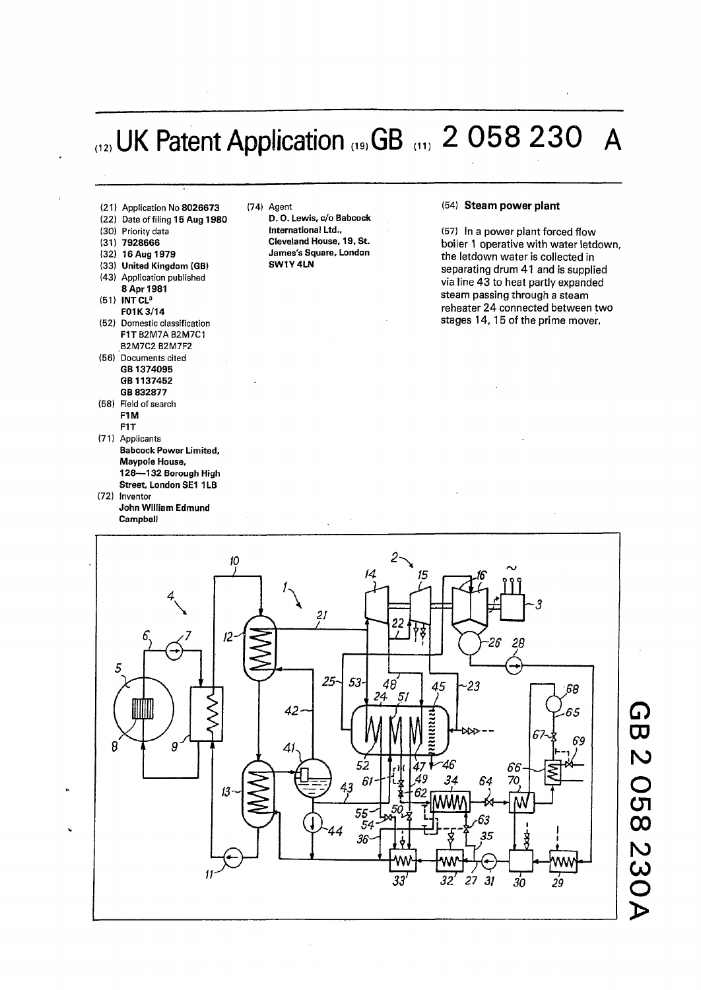## (12) UK Patent Application **,,s**,GB ,", 2 058 230 A

(54) **Steam power plant** 



*15 J - 14*   $\int$ r <del>11</del> **> 1**  *M*   $\sum_{i=1}^n$ *21 22*  **C v**  *J . \_ 12- J.L*   $26^{\circ}$  $28$ 5 **L V C 7**  *25- 53- 48*  **4 5**   $-23$ 68 *24*1 *51*  **4 2 H**  *4~*  65 6, **M**  69 8  $9^{\degree}$ *41 52*  46 *S6*  **A**  *,49 34 64* **70**  *61- 13- 43 55*  63 *54*  **dx.** *<sup>44</sup>* 35 *36-* **-WvV— <sup>1</sup> J**  *i 29 11 32' 27 31 30* 

*o*  **CD r o**  o **CJl o o**   $\boldsymbol{\mathsf{N}}$ **CO**   $\rm \ddot O$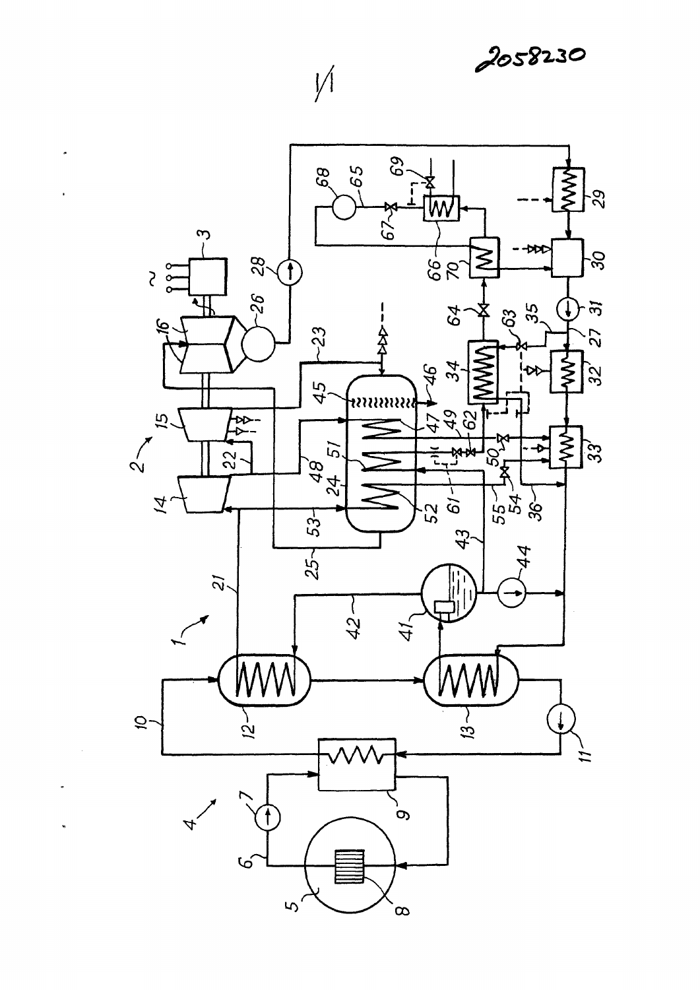$\sqrt{ }$ 

 $\tilde{\phantom{a}}$ 

×

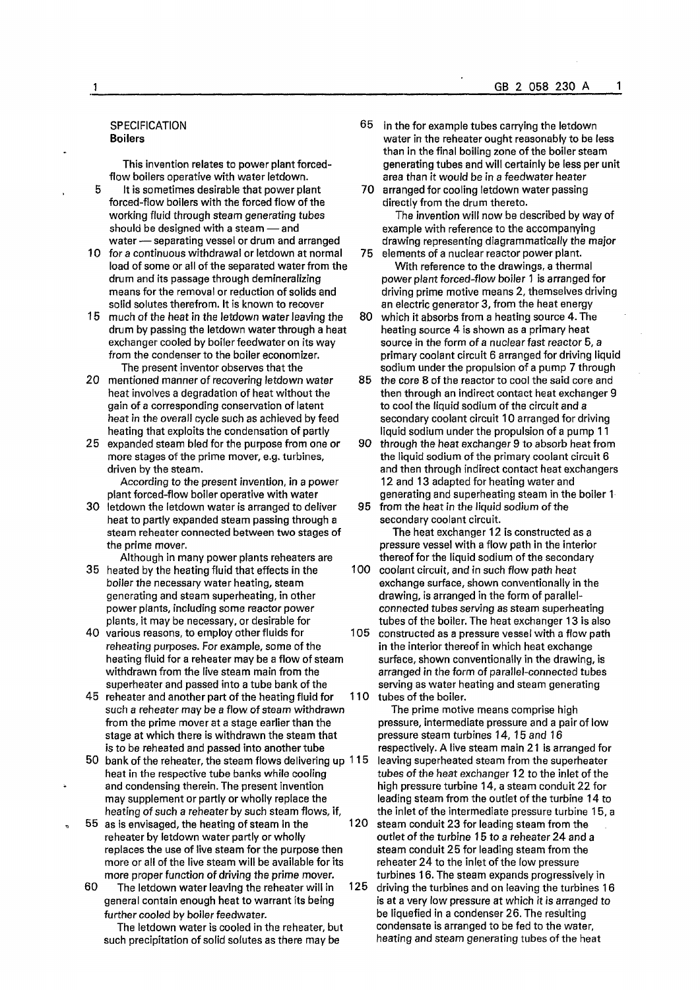## **SPECIFICATION Boilers**

**This invention relates to power plant forcedflow boilers operative with water letdown.** 

- **5** It is sometimes desirable that power plant forced-flow boilers with the forced flow of the **working fluid through steam generating tubes should be designed with a steam — and water — separating vessel or drum and arranged**
- **10 for a continuous withdrawal or letdown at normal 75**  load of some or all of the separated water from the **drum and its passage through demineralizing means for the removal or reduction of solids and solid solutes therefrom. It is known to recover**
- **15 much of the heat in the letdown water leaving the 80 drum by passing the letdown water through a heat exchanger cooled by boiler feedwater on its way from the condenser to the boiler economizer. The present inventor observes that the**
- **20 mentioned manner of recovering letdown water 85 heat involves a degradation of heat without the gain of a corresponding conservation of latent heat in the overall cycle such as achieved by feed heating that exploits the condensation of partly**
- **25 expanded steam bled for the purpose from one or 90**  more stages of the prime mover, e.g. turbines, **driven by the steam.**

**According to the present invention, in a power plant forced-flow boiler operative with water** 

- **30 letdown the letdown water is arranged to deliver 95 heat to partly expanded steam passing through a steam reheater connected between two stages of the prime mover.**
- **Although in many power plants reheaters are 35 heated by the heating fluid that effects in the 100 boiler the necessary water heating, steam generating and steam superheating, in other power plants, including some reactor power plants, it may be necessary, or desirable for**
- **40 various reasons, to employ other fluids for 105 reheating purposes. For example, some of the heating fluid for a reheater may be a flow of steam withdrawn from the live steam main from the superheater and passed into a tube bank of the**
- **45 reheater and another part of the heating fluid for 110 such a reheater may be a flow of steam withdrawn from the prime mover at a stage earlier than the stage at which there is withdrawn the steam that is to be reheated and passed into another tube**
- **50 bank of the reheater, the steam flows delivering up 115 heat in the respective tube banks while cooling and condensing therein. The present invention may supplement or partly or wholly replace the heating of such a reheater by such steam flows, if,**
- **55 as is envisaged, the heating of steam in the 120 reheater by letdown water partly or wholly replaces the use of live steam for the purpose then more or all of the live steam will be available for its more proper function of driving the prime mover.** 
	- **60 The letdown water leaving the reheater will in 125 general contain enough heat to warrant its being further cooled by boiler feedwater.**

**The letdown water is cooled in the reheater, but such precipitation of solid solutes as there may be** 

- **65 in the for example tubes carrying the letdown water in the reheater ought reasonably to be less than in the final boiling zone of the boiler steam generating tubes and will certainly be less per unit area than it would be in a feedwater heater**
- **arranged for cooling letdown water passing directly from the drum thereto. The invention will now be described by way of example with reference to the accompanying**
- **drawing representing diagrammatically the major elements of a nuclear reactor power plant. With reference to the drawings, a thermal power plant forced-flow boiler 1 is arranged for driving prime motive means 2, themselves driving an electric generator 3, from the heat energy**
- **which it absorbs from a heating source 4. The heating source 4 is shown as a primary heat source in the form of a nuclear fast reactor 5, a primary coolant circuit 6 arranged for driving liquid sodium under the propulsion of a pump 7 through**
- **the core 8 of the reactor to cool the said core and then through an indirect contact heat exchanger 9**  to cool the liquid sodium of the circuit and a **secondary coolant circuit 10 arranged for driving liquid sodium under the propulsion of a pump 11**
- **through the heat exchanger 9 to absorb heat from**  the liquid sodium of the primary coolant circuit 6 **and then through indirect contact heat exchangers 12 and 13 adapted for heating water and generating and superheating steam in the boiler 1**
- from the heat in the liquid sodium of the **secondary coolant circuit.**

**The heat exchanger 12 is constructed as a pressure vessel with a flow path in the interior thereof for the liquid sodium of the secondary** 

- **coolant circuit, and in such flow path heat exchange surface, shown conventionally in the drawing, is arranged in the form of parallelconnected tubes serving as steam superheating tubes of the boiler. The heat exchanger 13 is also**
- **constructed as a pressure vessel with a flow path in the interior thereof in which heat exchange surface, shown conventionally in the drawing, is arranged in the form of parallel-connected tubes serving as water heating and steam generating tubes of the boiler.**

**The prime motive means comprise high pressure, intermediate pressure and a pair of low pressure steam turbines 14, 15 and 16 respectively. A live steam main 21 is arranged for leaving superheated steam from the superheater tubes of the heat exchanger 12 to the inlet of the high pressure turbine 14, a steam conduit 22 for leading steam from the outlet of the turbine 14 to the inlet of the intermediate pressure turbine 15, a steam conduit 23 for leading steam from the outlet of the turbine 15 to a reheater 24 and a steam conduit 25 for leading steam from the**  reheater 24 to the inlet of the low pressure **turbines 16. The steam expands progressively in driving the turbines and on leaving the turbines 16 is at a very low pressure at which it is arranged to be liquefied in a condenser 26. The resulting condensate is arranged to be fed to the water,** 

**heating and steam generating tubes ofthe heat**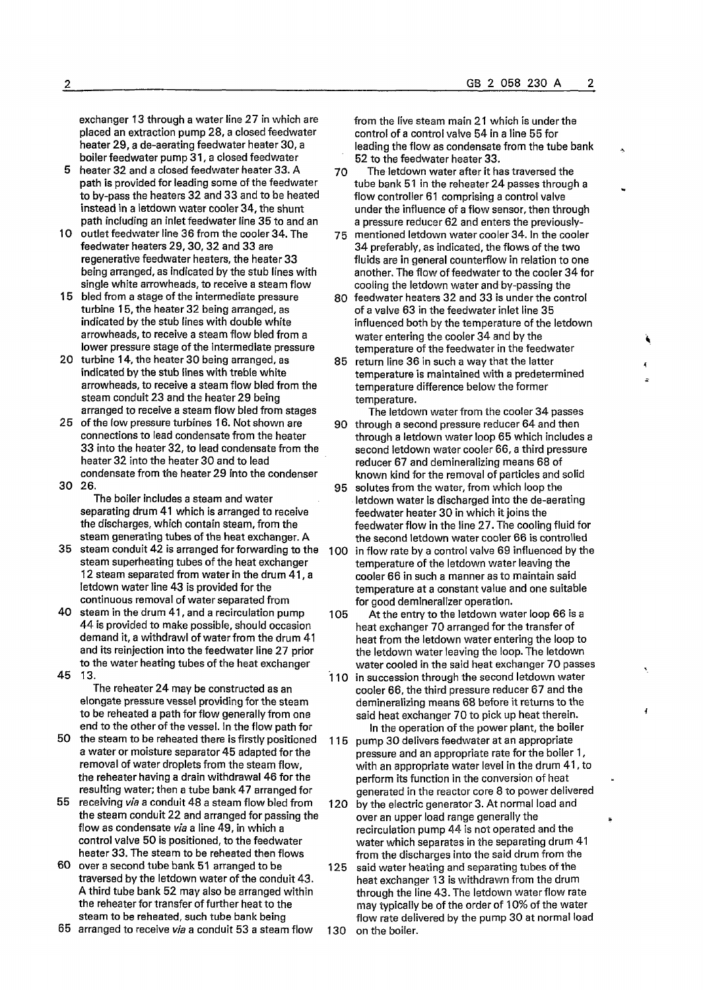**exchanger 13 through a water line 27 in which are placed an extraction pump 28, a closed feedwater heater 29, a de-aerating feedwater heater 30, a boiler feedwater pump 31, a closed feedwater** 

- **5 heater 32 and a closed feedwater heater 33. A**  path is provided for leading some of the feedwater **to by-pass the heaters 32 and 33 and to be heated instead in a letdown water cooler 34, the shunt path including an inlet feedwater line 35 to and an**
- **10 outlet feedwater line 36 from the cooler 34. The feedwater heaters 29,30,32 and 33 are regenerative feedwater heaters, the heater 33 being arranged, as indicated by the stub lines with single white arrowheads, to receive a steam flow**
- **15 bled from a stage of the intermediate pressure turbine 15, the heater 32 being arranged, as indicated by the stub lines with double white arrowheads, to receive a steam flow bled from a**  lower pressure stage of the intermediate pressure
- **20 turbine 14, the heater 30 being arranged, as indicated by the stub lines with treble white arrowheads, to receive a steam flow bled from the steam conduit 23 and the heater 29 being arranged to receive a steam flow bled from stages**
- **25 ofthe low pressure turbines 16. Not shown are connections to lead condensate from the heater 33 into the heater 32, to lead condensate from the heater 32 into the heater 30 and to lead condensate from the heater 29 into the condenser**
- **30 26. The boiler includes a steam and water separating drum 41 which is arranged to receive**

**the discharges, which contain steam, from the**  steam generating tubes of the heat exchanger. A **35 steam conduit 42 is arranged for forwarding to the** 

- steam superheating tubes of the heat exchanger **12 steam separated from water in the drum 41, a letdown water line 43 is provided forthe continuous removal of water separated from**
- **40 steam in the drum 41, and a recirculation pump 44 is provided to make possible, should occasion demand it, a withdrawl of water from the drum 41 and its reinjection into the feedwater line 27 prior to the water heating tubes of the heat exchanger**
- **45 13.**

**The reheater 24 may be constructed as an elongate pressure vessel providing for the steam to be reheated a path for flow generally from one end to the other of the vessel. In the flow path for** 

- **50 the steam to be reheated there is firstly positioned a water or moisture separator 45 adapted for the removal of water droplets from the steam flow, the reheater having a drain withdrawal 46 for the resulting water; then a tube bank 47 arranged for**
- **55 receiving** *via* **a conduit 48 a steam flow bled from the steam conduit 22 and arranged for passing the flow as condensate** *via* **a line 49, in which a control valve 50 is positioned, to the feedwater heater 33. The steam to be reheated then flows**
- **60 over a second tube bank 51 arranged to be traversed by the letdown water of the conduit 43. A third tube bank 52 may also be arranged within the reheater for transfer of further heat to the steam to be reheated, such tube bank being**

**65 arranged to receive** *via* **a conduit 53 a steam flow** 

**from the live steam main 21 which is under the control of a control valve 54 in a line 55 for leading the flow as condensate from the tube bank 52 to the feedwater heater 33.** 

- **70 The letdown water after it has traversed the tube bank 51 in the reheater 24 passes through a flow controller 61 comprising a control valve under the influence of a flow sensor, then through a pressure reducer 62 and enters the previously-**
- **75 mentioned letdown water cooler 34. In the cooler 34 preferably, as indicated, the flows of the two fluids are in general counterflow in relation to one another. The flow of feedwater to the cooler 34 for cooling the letdown water and by-passing the**
- **80 feedwater heaters 32 and 33 is under the control of a valve 63 in the feedwater inlet line 35 influenced both by the temperature of the letdown water entering the cooler 34 and by the temperature of the feedwater in the feedwater**
- **85 return line 36 in such a way that the latter temperature is maintained with a predetermined temperature difference below the former temperature.**
- **The letdown water from the cooler 34 passes 90 through a second pressure reducer 64 and then through a letdown water loop 65 which includes a second letdown water cooler 66, a third pressure reducer 67 and demineralizing means 68 of known kind for the removal of particles and solid**
- **95 solutes from the water, from which loop the letdown water is discharged into the de-aerating feedwater heater 30 in which it joins the feedwater flow in the line 27. The cooling fluid for the second letdown water cooler 66 is controlled 100 in flow rate by a control valve 69 influenced by the temperature of the letdown water leaving the cooler 66 in such a manner as to maintain said**
- **temperature at a constant value and one suitable for good demineralizer operation. 105 At the entry to the letdown water loop 66 is a**
- **heat exchanger 70 arranged for the transfer of heat from the letdown water entering the loop to the letdown water leaving the loop. The letdown water cooled in the said heat exchanger 70 passes 110 in succession through the second letdown water cooler 66, the third pressure reducer 67 and the demineralizing means 68 before it returns to the said heat exchanger 70 to pick up heat therein.**

 $\overline{\mathbf{A}}$ 

In the operation of the power plant, the boiler **115 pump 30 delivers feedwater at an appropriate pressure and an appropriate rate forthe boiler 1, with an appropriate water level in the drum 41, to perform its function in the conversion of heat generated in the reactor core 8 to power delivered 120 by the electric generator 3. At normal load and over an upper load range generally the recirculation pump 44 is not operated and the water which separates in the separating drum 41 from the discharges into the said drum from the 125 said water heating and separating tubes of the heat exchanger 13 is withdrawn from the drum through the line 43. The letdown water flow rate may typically be of the order of 10% of the water flow rate delivered by the pump 30 at normal load 130 on the boiler.**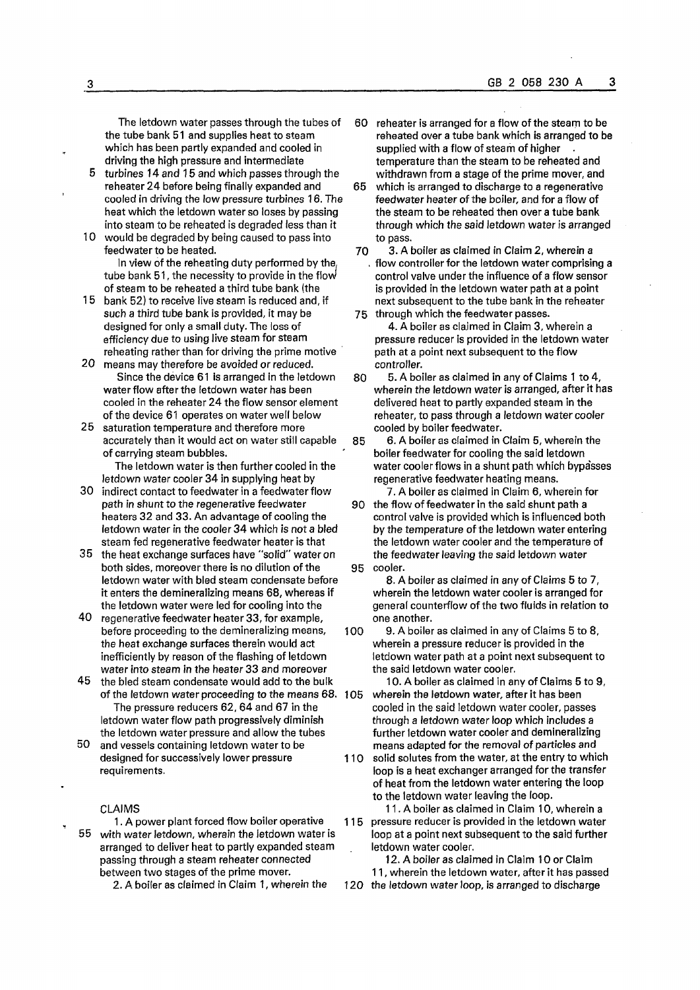**The letdown water passes through the tubes of the tube bank 51 and supplies heat to steam which has been partly expanded and cooled in driving the high pressure and intermediate** 

- **5 turbines 14 and 15 and which passes through the reheater 24 before being finally expanded and cooled in driving the low pressure turbines 16. The heat which the letdown water so loses by passing into steam to be reheated is degraded less than it**
- **10 would be degraded by being caused to pass into feedwater to be heated. In view of the reheating duty performed by the, tube bank 51, the necessity to provide in the flow' of steam to be reheated a third tube bank (the**
- **15 bank 52) to receive live steam is reduced and, if such a third tube bank is provided, it may be designed for only a small duty. The loss of efficiency due to using live steam for steam reheating rather than for driving the prime motive**
- **20 means may therefore be avoided or reduced. Since the device 61 is arranged in the letdown water flow after the letdown water has been cooled in the reheater 24 the flow sensor element ofthe device 61 operates on water well below**
- **25 saturation temperature and therefore more accurately than it would act on water still capable of carrying steam bubbles.** 
	- **The letdown water is then further cooled in the letdown water cooler 34 in supplying heat by**
- **30 indirect contact to feedwater in a feedwater flow path in shunt to the regenerative feedwater heaters 32 and 33. An advantage of cooling the letdown water in the cooler 34 which is not a bled steam fed regenerative feedwater heater is that**
- **35 the heat exchange surfaces have "solid" water on**  both sides, moreover there is no dilution of the **letdown water with bled steam condensate before it enters the demineralizing means 68, whereas if the letdown water were led for cooling into the**
- **40 regenerative feedwater heater 33, for example, before proceeding to the demineralizing means, the heat exchange surfaces therein would act inefficiently by reason of the flashing of letdown water into steam in the heater 33 and moreover**
- **45 the bled steam condensate would add to the bulk of the letdown water proceeding to the means 68. The pressure reducers 62, 64 and 67 in the letdown water flow path progressively diminish the letdown water pressure and allow the tubes**
- **50 and vessels containing letdown water to be designed for successively lower pressure requirements.**

## **CLAIMS**

**1. A power plant forced flow boiler operative 55 with water letdown, wherein the letdown water is arranged to deliver heat to partly expanded steam passing through a steam reheater connected between two stages of the prime mover.** 

**2. A boiler as claimed in Claim 1, wherein the** 

- **60 reheater is arranged for a flow ofthe steam to be reheated over a tube bank which is arranged to be**  supplied with a flow of steam of higher **temperature than the steam to be reheated and withdrawn from a stage of the prime mover, and**
- **65 which is arranged to discharge to a regenerative feedwater heater of the boiler, and for a flow of the steam to be reheated then over a tube bank through which the said letdown water is arranged to pass.**
- **70 3. A boiler as claimed in Claim 2, wherein a . flow controller for the letdown water comprising a control valve under the influence of a flow sensor is provided in the letdown water path at a point next subsequent to the tube bank in the reheater 75 through which the feedwater passes.**
- **4. A boiler as claimed in Claim 3, wherein a pressure reducer is provided in the letdown water path at a point next subsequent to the flow controller.**
- **80 5. A boiler as claimed in any of Claims 1 to 4, wherein the letdown water is arranged, after it has delivered heat to partly expanded steam in the reheater, to pass through a letdown water cooler cooled by boiler feedwater.**
- **85 6. A boiler as claimed in Claim 5, wherein the boiler feedwater for cooling the said letdown water cooler flows in a shunt path which bypa'sses regenerative feedwater heating means.**
- **7. A boiler as claimed in Claim 6, wherein for 90 the flow of feedwater in the said shunt path a control valve is provided which is influenced both**  by the temperature of the letdown water entering **the letdown water cooler and the temperature of the feedwater leaving the said letdown water 95 cooler.**

**8. A boiler as claimed in any of Claims 5 to 7, wherein the letdown water cooler is arranged for**  general counterflow of the two fluids in relation to **one another.** 

**100 9. A boiler as claimed in any of Claims 5 to 8, wherein a pressure reducer is provided in the letdown water path at a point next subsequent to the said letdown water cooler.** 

**10. A boiler as claimed in any of Claims 5 to 9, 105 wherein the letdown water, after it has been cooled in the said letdown water cooler, passes through a letdown water loop which includes a further letdown water cooler and demineralizing means adapted for the removal of particles and** 

**110 solid solutes from the water, at the entry to which loop is a heat exchanger arranged for the transfer of heat from the letdown water entering the loop to the letdown water leaving the loop.** 

**11. A boiler as claimed in Claim 10, wherein a 115 pressure reducer is provided in the letdown water loop at a point next subsequent to the said further letdown water cooler.** 

**12. A boiler as claimed in Claim 10 or Claim 11, wherein the letdown water, after it has passed 120 the letdown water loop, is arranged to discharge**